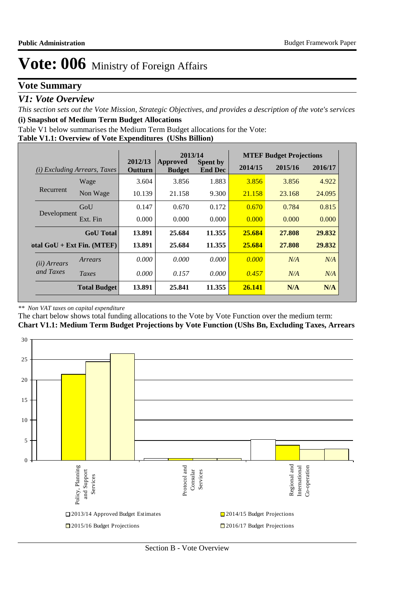## **Vote Summary**

### *V1: Vote Overview*

*This section sets out the Vote Mission, Strategic Objectives, and provides a description of the vote's services* **(i) Snapshot of Medium Term Budget Allocations** 

Table V1 below summarises the Medium Term Budget allocations for the Vote:

#### **Table V1.1: Overview of Vote Expenditures (UShs Billion)**

|                       |                                     | 2013/14<br>2012/13 |                           |                                   | <b>MTEF Budget Projections</b> |         |         |
|-----------------------|-------------------------------------|--------------------|---------------------------|-----------------------------------|--------------------------------|---------|---------|
|                       | <i>(i)</i> Excluding Arrears, Taxes | Outturn            | Approved<br><b>Budget</b> | <b>Spent by</b><br><b>End Dec</b> | 2014/15                        | 2015/16 | 2016/17 |
|                       | Wage                                | 3.604              | 3.856                     | 1.883                             | 3.856                          | 3.856   | 4.922   |
| Recurrent             | Non Wage                            | 10.139             | 21.158                    | 9.300                             | 21.158                         | 23.168  | 24.095  |
|                       | GoU                                 | 0.147              | 0.670                     | 0.172                             | 0.670                          | 0.784   | 0.815   |
| Development           | Ext. Fin                            | 0.000              | 0.000                     | 0.000                             | 0.000                          | 0.000   | 0.000   |
|                       | <b>GoU</b> Total                    | 13.891             | 25.684                    | 11.355                            | 25.684                         | 27,808  | 29.832  |
|                       | otal $GoU + Ext Fin. (MTEF)$        | 13.891             | 25.684                    | 11.355                            | 25.684                         | 27,808  | 29.832  |
| ( <i>ii</i> ) Arrears | Arrears                             | 0.000              | 0.000                     | 0.000                             | 0.000                          | N/A     | N/A     |
| and Taxes             | Taxes                               | 0.000              | 0.157                     | 0.000                             | 0.457                          | N/A     | N/A     |
|                       | <b>Total Budget</b>                 | 13.891             | 25.841                    | 11.355                            | 26.141                         | N/A     | N/A     |

#### *\*\* Non VAT taxes on capital expenditure*

The chart below shows total funding allocations to the Vote by Vote Function over the medium term:

**Chart V1.1: Medium Term Budget Projections by Vote Function (UShs Bn, Excluding Taxes, Arrears**

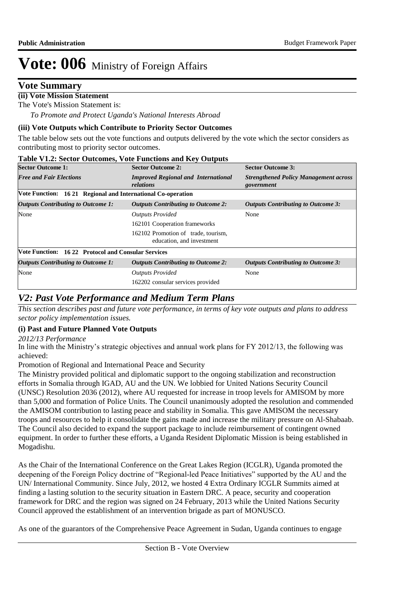### **Vote Summary**

### **(ii) Vote Mission Statement**

The Vote's Mission Statement is:

*To Promote and Protect Uganda's National Interests Abroad*

#### **(iii) Vote Outputs which Contribute to Priority Sector Outcomes**

The table below sets out the vote functions and outputs delivered by the vote which the sector considers as contributing most to priority sector outcomes.

#### **Table V1.2: Sector Outcomes, Vote Functions and Key Outputs**

| <b>Sector Outcome 1:</b>                                     | <b>Sector Outcome 2:</b>                                         | <b>Sector Outcome 3:</b>                                   |
|--------------------------------------------------------------|------------------------------------------------------------------|------------------------------------------------------------|
| <b>Free and Fair Elections</b>                               | <b>Improved Regional and International</b><br>relations          | <b>Strengthened Policy Management across</b><br>government |
| Vote Function: 16 21 Regional and International Co-operation |                                                                  |                                                            |
| <b>Outputs Contributing to Outcome 1:</b>                    | <b>Outputs Contributing to Outcome 2:</b>                        | <b>Outputs Contributing to Outcome 3:</b>                  |
| None                                                         | <b>Outputs Provided</b>                                          | None                                                       |
|                                                              | 162101 Cooperation frameworks                                    |                                                            |
|                                                              | 162102 Promotion of trade, tourism,<br>education, and investment |                                                            |
| <b>Vote Function: 1622 Protocol and Consular Services</b>    |                                                                  |                                                            |
| <b>Outputs Contributing to Outcome 1:</b>                    | <b>Outputs Contributing to Outcome 2:</b>                        | <b>Outputs Contributing to Outcome 3:</b>                  |
| None                                                         | <b>Outputs Provided</b>                                          | None                                                       |
|                                                              | 162202 consular services provided                                |                                                            |

## *V2: Past Vote Performance and Medium Term Plans*

*This section describes past and future vote performance, in terms of key vote outputs and plans to address sector policy implementation issues.* 

#### **(i) Past and Future Planned Vote Outputs**

*2012/13 Performance*

In line with the Ministry's strategic objectives and annual work plans for FY 2012/13, the following was achieved:

Promotion of Regional and International Peace and Security

The Ministry provided political and diplomatic support to the ongoing stabilization and reconstruction efforts in Somalia through IGAD, AU and the UN. We lobbied for United Nations Security Council (UNSC) Resolution 2036 (2012), where AU requested for increase in troop levels for AMISOM by more than 5,000 and formation of Police Units. The Council unanimously adopted the resolution and commended the AMISOM contribution to lasting peace and stability in Somalia. This gave AMISOM the necessary troops and resources to help it consolidate the gains made and increase the military pressure on Al-Shabaab. The Council also decided to expand the support package to include reimbursement of contingent owned equipment. In order to further these efforts, a Uganda Resident Diplomatic Mission is being established in Mogadishu.

As the Chair of the International Conference on the Great Lakes Region (ICGLR), Uganda promoted the deepening of the Foreign Policy doctrine of "Regional-led Peace Initiatives" supported by the AU and the UN/ International Community. Since July, 2012, we hosted 4 Extra Ordinary ICGLR Summits aimed at finding a lasting solution to the security situation in Eastern DRC. A peace, security and cooperation framework for DRC and the region was signed on 24 February, 2013 while the United Nations Security Council approved the establishment of an intervention brigade as part of MONUSCO.

As one of the guarantors of the Comprehensive Peace Agreement in Sudan, Uganda continues to engage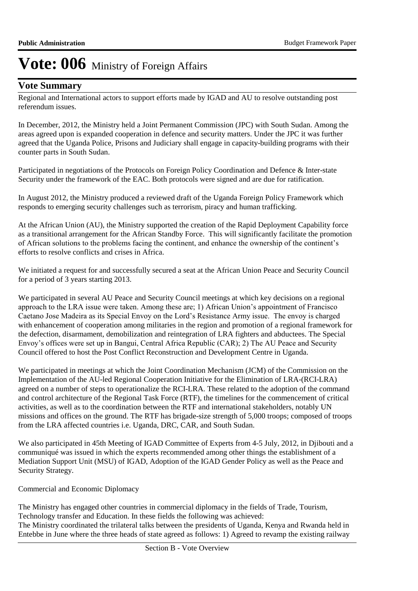### **Vote Summary**

Regional and International actors to support efforts made by IGAD and AU to resolve outstanding post referendum issues.

In December, 2012, the Ministry held a Joint Permanent Commission (JPC) with South Sudan. Among the areas agreed upon is expanded cooperation in defence and security matters. Under the JPC it was further agreed that the Uganda Police, Prisons and Judiciary shall engage in capacity-building programs with their counter parts in South Sudan.

Participated in negotiations of the Protocols on Foreign Policy Coordination and Defence & Inter-state Security under the framework of the EAC. Both protocols were signed and are due for ratification.

In August 2012, the Ministry produced a reviewed draft of the Uganda Foreign Policy Framework which responds to emerging security challenges such as terrorism, piracy and human trafficking.

At the African Union (AU), the Ministry supported the creation of the Rapid Deployment Capability force as a transitional arrangement for the African Standby Force. This will significantly facilitate the promotion of African solutions to the problems facing the continent, and enhance the ownership of the continent's efforts to resolve conflicts and crises in Africa.

We initiated a request for and successfully secured a seat at the African Union Peace and Security Council for a period of 3 years starting 2013.

We participated in several AU Peace and Security Council meetings at which key decisions on a regional approach to the LRA issue were taken. Among these are; 1) African Union's appointment of Francisco Caetano Jose Madeira as its Special Envoy on the Lord's Resistance Army issue. The envoy is charged with enhancement of cooperation among militaries in the region and promotion of a regional framework for the defection, disarmament, demobilization and reintegration of LRA fighters and abductees. The Special Envoy's offices were set up in Bangui, Central Africa Republic (CAR); 2) The AU Peace and Security Council offered to host the Post Conflict Reconstruction and Development Centre in Uganda.

We participated in meetings at which the Joint Coordination Mechanism (JCM) of the Commission on the Implementation of the AU-led Regional Cooperation Initiative for the Elimination of LRA-(RCI-LRA) agreed on a number of steps to operationalize the RCI-LRA. These related to the adoption of the command and control architecture of the Regional Task Force (RTF), the timelines for the commencement of critical activities, as well as to the coordination between the RTF and international stakeholders, notably UN missions and offices on the ground. The RTF has brigade-size strength of 5,000 troops; composed of troops from the LRA affected countries i.e. Uganda, DRC, CAR, and South Sudan.

We also participated in 45th Meeting of IGAD Committee of Experts from 4-5 July, 2012, in Djibouti and a communiqué was issued in which the experts recommended among other things the establishment of a Mediation Support Unit (MSU) of IGAD, Adoption of the IGAD Gender Policy as well as the Peace and Security Strategy.

Commercial and Economic Diplomacy

The Ministry has engaged other countries in commercial diplomacy in the fields of Trade, Tourism, Technology transfer and Education. In these fields the following was achieved: The Ministry coordinated the trilateral talks between the presidents of Uganda, Kenya and Rwanda held in Entebbe in June where the three heads of state agreed as follows: 1) Agreed to revamp the existing railway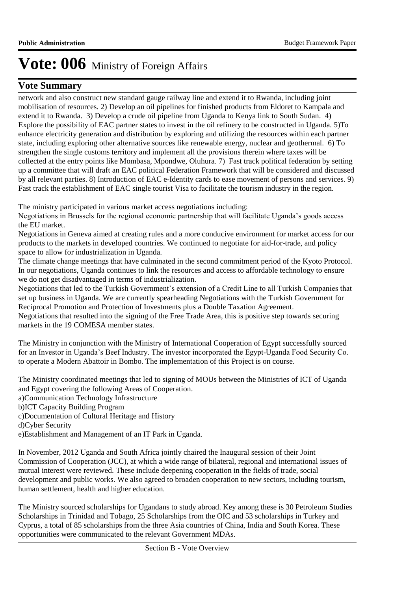## **Vote Summary**

network and also construct new standard gauge railway line and extend it to Rwanda, including joint mobilisation of resources. 2) Develop an oil pipelines for finished products from Eldoret to Kampala and extend it to Rwanda. 3) Develop a crude oil pipeline from Uganda to Kenya link to South Sudan. 4) Explore the possibility of EAC partner states to invest in the oil refinery to be constructed in Uganda. 5)To enhance electricity generation and distribution by exploring and utilizing the resources within each partner state, including exploring other alternative sources like renewable energy, nuclear and geothermal. 6) To strengthen the single customs territory and implement all the provisions therein where taxes will be collected at the entry points like Mombasa, Mpondwe, Oluhura. 7) Fast track political federation by setting up a committee that will draft an EAC political Federation Framework that will be considered and discussed by all relevant parties. 8) Introduction of EAC e-Identity cards to ease movement of persons and services. 9) Fast track the establishment of EAC single tourist Visa to facilitate the tourism industry in the region.

The ministry participated in various market access negotiations including:

Negotiations in Brussels for the regional economic partnership that will facilitate Uganda's goods access the EU market.

Negotiations in Geneva aimed at creating rules and a more conducive environment for market access for our products to the markets in developed countries. We continued to negotiate for aid-for-trade, and policy space to allow for industrialization in Uganda.

The climate change meetings that have culminated in the second commitment period of the Kyoto Protocol. In our negotiations, Uganda continues to link the resources and access to affordable technology to ensure we do not get disadvantaged in terms of industrialization.

Negotiations that led to the Turkish Government's extension of a Credit Line to all Turkish Companies that set up business in Uganda. We are currently spearheading Negotiations with the Turkish Government for Reciprocal Promotion and Protection of Investments plus a Double Taxation Agreement.

Negotiations that resulted into the signing of the Free Trade Area, this is positive step towards securing markets in the 19 COMESA member states.

The Ministry in conjunction with the Ministry of International Cooperation of Egypt successfully sourced for an Investor in Uganda's Beef Industry. The investor incorporated the Egypt-Uganda Food Security Co. to operate a Modern Abattoir in Bombo. The implementation of this Project is on course.

The Ministry coordinated meetings that led to signing of MOUs between the Ministries of ICT of Uganda and Egypt covering the following Areas of Cooperation. a)Communication Technology Infrastructure b)ICT Capacity Building Program c)Documentation of Cultural Heritage and History d)Cyber Security

e)Establishment and Management of an IT Park in Uganda.

In November, 2012 Uganda and South Africa jointly chaired the Inaugural session of their Joint Commission of Cooperation (JCC), at which a wide range of bilateral, regional and international issues of mutual interest were reviewed. These include deepening cooperation in the fields of trade, social development and public works. We also agreed to broaden cooperation to new sectors, including tourism, human settlement, health and higher education.

The Ministry sourced scholarships for Ugandans to study abroad. Key among these is 30 Petroleum Studies Scholarships in Trinidad and Tobago, 25 Scholarships from the OIC and 53 scholarships in Turkey and Cyprus, a total of 85 scholarships from the three Asia countries of China, India and South Korea. These opportunities were communicated to the relevant Government MDAs.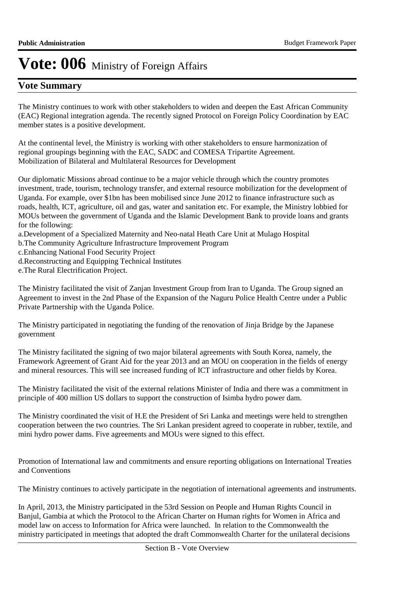## **Vote Summary**

The Ministry continues to work with other stakeholders to widen and deepen the East African Community (EAC) Regional integration agenda. The recently signed Protocol on Foreign Policy Coordination by EAC member states is a positive development.

At the continental level, the Ministry is working with other stakeholders to ensure harmonization of regional groupings beginning with the EAC, SADC and COMESA Tripartite Agreement. Mobilization of Bilateral and Multilateral Resources for Development

Our diplomatic Missions abroad continue to be a major vehicle through which the country promotes investment, trade, tourism, technology transfer, and external resource mobilization for the development of Uganda. For example, over \$1bn has been mobilised since June 2012 to finance infrastructure such as roads, health, ICT, agriculture, oil and gas, water and sanitation etc. For example, the Ministry lobbied for MOUs between the government of Uganda and the Islamic Development Bank to provide loans and grants for the following:

a.Development of a Specialized Maternity and Neo-natal Heath Care Unit at Mulago Hospital

b.The Community Agriculture Infrastructure Improvement Program

c.Enhancing National Food Security Project

d.Reconstructing and Equipping Technical Institutes

e.The Rural Electrification Project.

The Ministry facilitated the visit of Zanjan Investment Group from Iran to Uganda. The Group signed an Agreement to invest in the 2nd Phase of the Expansion of the Naguru Police Health Centre under a Public Private Partnership with the Uganda Police.

The Ministry participated in negotiating the funding of the renovation of Jinja Bridge by the Japanese government

The Ministry facilitated the signing of two major bilateral agreements with South Korea, namely, the Framework Agreement of Grant Aid for the year 2013 and an MOU on cooperation in the fields of energy and mineral resources. This will see increased funding of ICT infrastructure and other fields by Korea.

The Ministry facilitated the visit of the external relations Minister of India and there was a commitment in principle of 400 million US dollars to support the construction of Isimba hydro power dam.

The Ministry coordinated the visit of H.E the President of Sri Lanka and meetings were held to strengthen cooperation between the two countries. The Sri Lankan president agreed to cooperate in rubber, textile, and mini hydro power dams. Five agreements and MOUs were signed to this effect.

Promotion of International law and commitments and ensure reporting obligations on International Treaties and Conventions

The Ministry continues to actively participate in the negotiation of international agreements and instruments.

In April, 2013, the Ministry participated in the 53rd Session on People and Human Rights Council in Banjul, Gambia at which the Protocol to the African Charter on Human rights for Women in Africa and model law on access to Information for Africa were launched. In relation to the Commonwealth the ministry participated in meetings that adopted the draft Commonwealth Charter for the unilateral decisions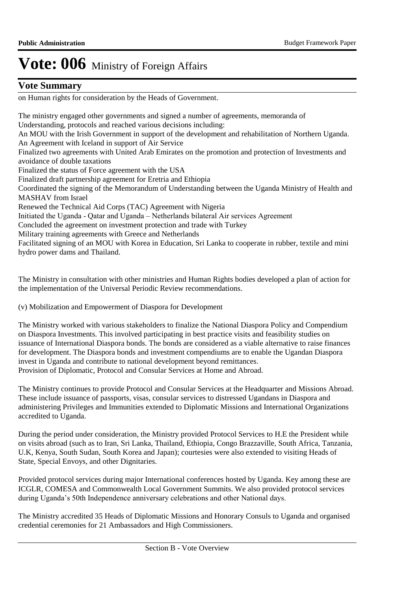### **Vote Summary**

on Human rights for consideration by the Heads of Government.

The ministry engaged other governments and signed a number of agreements, memoranda of Understanding, protocols and reached various decisions including: An MOU with the Irish Government in support of the development and rehabilitation of Northern Uganda. An Agreement with Iceland in support of Air Service Finalized two agreements with United Arab Emirates on the promotion and protection of Investments and avoidance of double taxations Finalized the status of Force agreement with the USA Finalized draft partnership agreement for Eretria and Ethiopia Coordinated the signing of the Memorandum of Understanding between the Uganda Ministry of Health and MASHAV from Israel Renewed the Technical Aid Corps (TAC) Agreement with Nigeria Initiated the Uganda - Qatar and Uganda – Netherlands bilateral Air services Agreement Concluded the agreement on investment protection and trade with Turkey Military training agreements with Greece and Netherlands Facilitated signing of an MOU with Korea in Education, Sri Lanka to cooperate in rubber, textile and mini hydro power dams and Thailand.

The Ministry in consultation with other ministries and Human Rights bodies developed a plan of action for the implementation of the Universal Periodic Review recommendations.

(v) Mobilization and Empowerment of Diaspora for Development

The Ministry worked with various stakeholders to finalize the National Diaspora Policy and Compendium on Diaspora Investments. This involved participating in best practice visits and feasibility studies on issuance of International Diaspora bonds. The bonds are considered as a viable alternative to raise finances for development. The Diaspora bonds and investment compendiums are to enable the Ugandan Diaspora invest in Uganda and contribute to national development beyond remittances. Provision of Diplomatic, Protocol and Consular Services at Home and Abroad.

The Ministry continues to provide Protocol and Consular Services at the Headquarter and Missions Abroad. These include issuance of passports, visas, consular services to distressed Ugandans in Diaspora and administering Privileges and Immunities extended to Diplomatic Missions and International Organizations accredited to Uganda.

During the period under consideration, the Ministry provided Protocol Services to H.E the President while on visits abroad (such as to Iran, Sri Lanka, Thailand, Ethiopia, Congo Brazzaville, South Africa, Tanzania, U.K, Kenya, South Sudan, South Korea and Japan); courtesies were also extended to visiting Heads of State, Special Envoys, and other Dignitaries.

Provided protocol services during major International conferences hosted by Uganda. Key among these are ICGLR, COMESA and Commonwealth Local Government Summits. We also provided protocol services during Uganda's 50th Independence anniversary celebrations and other National days.

The Ministry accredited 35 Heads of Diplomatic Missions and Honorary Consuls to Uganda and organised credential ceremonies for 21 Ambassadors and High Commissioners.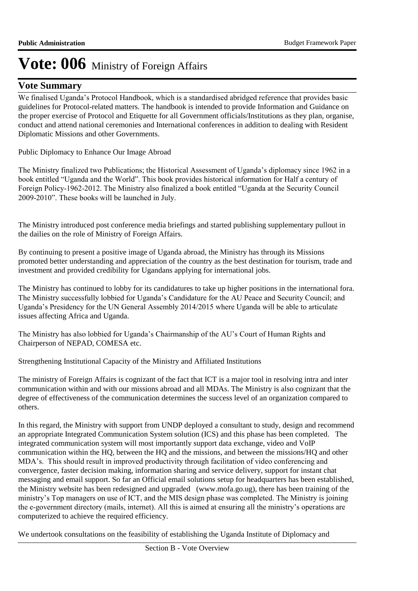### **Vote Summary**

We finalised Uganda's Protocol Handbook, which is a standardised abridged reference that provides basic guidelines for Protocol-related matters. The handbook is intended to provide Information and Guidance on the proper exercise of Protocol and Etiquette for all Government officials/Institutions as they plan, organise, conduct and attend national ceremonies and International conferences in addition to dealing with Resident Diplomatic Missions and other Governments.

Public Diplomacy to Enhance Our Image Abroad

The Ministry finalized two Publications; the Historical Assessment of Uganda's diplomacy since 1962 in a book entitled "Uganda and the World". This book provides historical information for Half a century of Foreign Policy-1962-2012. The Ministry also finalized a book entitled "Uganda at the Security Council 2009-2010". These books will be launched in July.

The Ministry introduced post conference media briefings and started publishing supplementary pullout in the dailies on the role of Ministry of Foreign Affairs.

By continuing to present a positive image of Uganda abroad, the Ministry has through its Missions promoted better understanding and appreciation of the country as the best destination for tourism, trade and investment and provided credibility for Ugandans applying for international jobs.

The Ministry has continued to lobby for its candidatures to take up higher positions in the international fora. The Ministry successfully lobbied for Uganda's Candidature for the AU Peace and Security Council; and Uganda's Presidency for the UN General Assembly 2014/2015 where Uganda will be able to articulate issues affecting Africa and Uganda.

The Ministry has also lobbied for Uganda's Chairmanship of the AU's Court of Human Rights and Chairperson of NEPAD, COMESA etc.

Strengthening Institutional Capacity of the Ministry and Affiliated Institutions

The ministry of Foreign Affairs is cognizant of the fact that ICT is a major tool in resolving intra and inter communication within and with our missions abroad and all MDAs. The Ministry is also cognizant that the degree of effectiveness of the communication determines the success level of an organization compared to others.

In this regard, the Ministry with support from UNDP deployed a consultant to study, design and recommend an appropriate Integrated Communication System solution (ICS) and this phase has been completed. The integrated communication system will most importantly support data exchange, video and VoIP communication within the HQ, between the HQ and the missions, and between the missions/HQ and other MDA's. This should result in improved productivity through facilitation of video conferencing and convergence, faster decision making, information sharing and service delivery, support for instant chat messaging and email support. So far an Official email solutions setup for headquarters has been established, the Ministry website has been redesigned and upgraded (www.mofa.go.ug), there has been training of the ministry's Top managers on use of ICT, and the MIS design phase was completed. The Ministry is joining the e-government directory (mails, internet). All this is aimed at ensuring all the ministry's operations are computerized to achieve the required efficiency.

We undertook consultations on the feasibility of establishing the Uganda Institute of Diplomacy and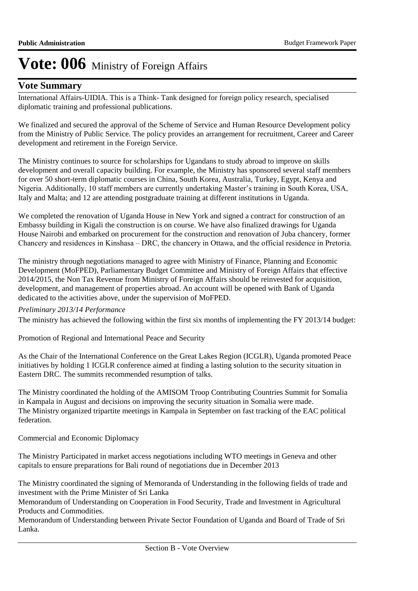### **Vote Summary**

International Affairs-UIDIA. This is a Think- Tank designed for foreign policy research, specialised diplomatic training and professional publications.

We finalized and secured the approval of the Scheme of Service and Human Resource Development policy from the Ministry of Public Service. The policy provides an arrangement for recruitment, Career and Career development and retirement in the Foreign Service.

The Ministry continues to source for scholarships for Ugandans to study abroad to improve on skills development and overall capacity building. For example, the Ministry has sponsored several staff members for over 50 short-term diplomatic courses in China, South Korea, Australia, Turkey, Egypt, Kenya and Nigeria. Additionally, 10 staff members are currently undertaking Master's training in South Korea, USA, Italy and Malta; and 12 are attending postgraduate training at different institutions in Uganda.

We completed the renovation of Uganda House in New York and signed a contract for construction of an Embassy building in Kigali the construction is on course. We have also finalized drawings for Uganda House Nairobi and embarked on procurement for the construction and renovation of Juba chancery, former Chancery and residences in Kinshasa – DRC, the chancery in Ottawa, and the official residence in Pretoria.

The ministry through negotiations managed to agree with Ministry of Finance, Planning and Economic Development (MoFPED), Parliamentary Budget Committee and Ministry of Foreign Affairs that effective 2014/2015, the Non Tax Revenue from Ministry of Foreign Affairs should be reinvested for acquisition, development, and management of properties abroad. An account will be opened with Bank of Uganda dedicated to the activities above, under the supervision of MoFPED.

#### *Preliminary 2013/14 Performance*

The ministry has achieved the following within the first six months of implementing the FY 2013/14 budget:

Promotion of Regional and International Peace and Security

As the Chair of the International Conference on the Great Lakes Region (ICGLR), Uganda promoted Peace initiatives by holding 1 ICGLR conference aimed at finding a lasting solution to the security situation in Eastern DRC. The summits recommended resumption of talks.

The Ministry coordinated the holding of the AMISOM Troop Contributing Countries Summit for Somalia in Kampala in August and decisions on improving the security situation in Somalia were made. The Ministry organized tripartite meetings in Kampala in September on fast tracking of the EAC political federation.

Commercial and Economic Diplomacy

The Ministry Participated in market access negotiations including WTO meetings in Geneva and other capitals to ensure preparations for Bali round of negotiations due in December 2013

The Ministry coordinated the signing of Memoranda of Understanding in the following fields of trade and investment with the Prime Minister of Sri Lanka

Memorandum of Understanding on Cooperation in Food Security, Trade and Investment in Agricultural Products and Commodities.

Memorandum of Understanding between Private Sector Foundation of Uganda and Board of Trade of Sri Lanka.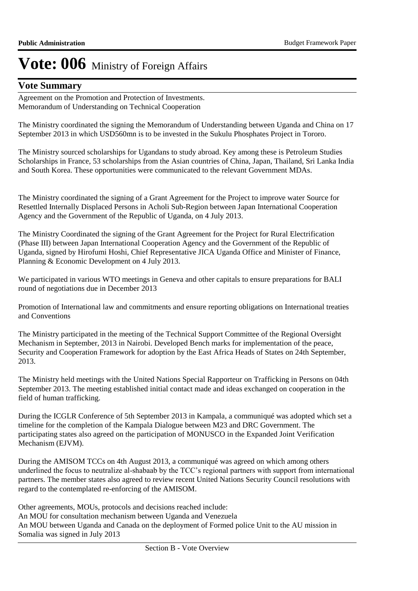## **Vote Summary**

Agreement on the Promotion and Protection of Investments. Memorandum of Understanding on Technical Cooperation

The Ministry coordinated the signing the Memorandum of Understanding between Uganda and China on 17 September 2013 in which USD560mn is to be invested in the Sukulu Phosphates Project in Tororo.

The Ministry sourced scholarships for Ugandans to study abroad. Key among these is Petroleum Studies Scholarships in France, 53 scholarships from the Asian countries of China, Japan, Thailand, Sri Lanka India and South Korea. These opportunities were communicated to the relevant Government MDAs.

The Ministry coordinated the signing of a Grant Agreement for the Project to improve water Source for Resettled Internally Displaced Persons in Acholi Sub-Region between Japan International Cooperation Agency and the Government of the Republic of Uganda, on 4 July 2013.

The Ministry Coordinated the signing of the Grant Agreement for the Project for Rural Electrification (Phase III) between Japan International Cooperation Agency and the Government of the Republic of Uganda, signed by Hirofumi Hoshi, Chief Representative JICA Uganda Office and Minister of Finance, Planning & Economic Development on 4 July 2013.

We participated in various WTO meetings in Geneva and other capitals to ensure preparations for BALI round of negotiations due in December 2013

Promotion of International law and commitments and ensure reporting obligations on International treaties and Conventions

The Ministry participated in the meeting of the Technical Support Committee of the Regional Oversight Mechanism in September, 2013 in Nairobi. Developed Bench marks for implementation of the peace, Security and Cooperation Framework for adoption by the East Africa Heads of States on 24th September, 2013.

The Ministry held meetings with the United Nations Special Rapporteur on Trafficking in Persons on 04th September 2013. The meeting established initial contact made and ideas exchanged on cooperation in the field of human trafficking.

During the ICGLR Conference of 5th September 2013 in Kampala, a communiqué was adopted which set a timeline for the completion of the Kampala Dialogue between M23 and DRC Government. The participating states also agreed on the participation of MONUSCO in the Expanded Joint Verification Mechanism (EJVM).

During the AMISOM TCCs on 4th August 2013, a communiqué was agreed on which among others underlined the focus to neutralize al-shabaab by the TCC's regional partners with support from international partners. The member states also agreed to review recent United Nations Security Council resolutions with regard to the contemplated re-enforcing of the AMISOM.

Other agreements, MOUs, protocols and decisions reached include: An MOU for consultation mechanism between Uganda and Venezuela An MOU between Uganda and Canada on the deployment of Formed police Unit to the AU mission in Somalia was signed in July 2013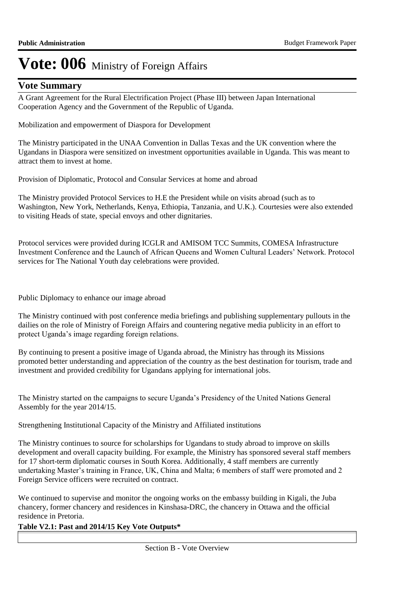### **Vote Summary**

A Grant Agreement for the Rural Electrification Project (Phase III) between Japan International Cooperation Agency and the Government of the Republic of Uganda.

Mobilization and empowerment of Diaspora for Development

The Ministry participated in the UNAA Convention in Dallas Texas and the UK convention where the Ugandans in Diaspora were sensitized on investment opportunities available in Uganda. This was meant to attract them to invest at home.

Provision of Diplomatic, Protocol and Consular Services at home and abroad

The Ministry provided Protocol Services to H.E the President while on visits abroad (such as to Washington, New York, Netherlands, Kenya, Ethiopia, Tanzania, and U.K.). Courtesies were also extended to visiting Heads of state, special envoys and other dignitaries.

Protocol services were provided during ICGLR and AMISOM TCC Summits, COMESA Infrastructure Investment Conference and the Launch of African Queens and Women Cultural Leaders' Network. Protocol services for The National Youth day celebrations were provided.

Public Diplomacy to enhance our image abroad

The Ministry continued with post conference media briefings and publishing supplementary pullouts in the dailies on the role of Ministry of Foreign Affairs and countering negative media publicity in an effort to protect Uganda's image regarding foreign relations.

By continuing to present a positive image of Uganda abroad, the Ministry has through its Missions promoted better understanding and appreciation of the country as the best destination for tourism, trade and investment and provided credibility for Ugandans applying for international jobs.

The Ministry started on the campaigns to secure Uganda's Presidency of the United Nations General Assembly for the year 2014/15.

Strengthening Institutional Capacity of the Ministry and Affiliated institutions

The Ministry continues to source for scholarships for Ugandans to study abroad to improve on skills development and overall capacity building. For example, the Ministry has sponsored several staff members for 17 short-term diplomatic courses in South Korea. Additionally, 4 staff members are currently undertaking Master's training in France, UK, China and Malta; 6 members of staff were promoted and 2 Foreign Service officers were recruited on contract.

We continued to supervise and monitor the ongoing works on the embassy building in Kigali, the Juba chancery, former chancery and residences in Kinshasa-DRC, the chancery in Ottawa and the official residence in Pretoria.

#### **Table V2.1: Past and 2014/15 Key Vote Outputs\***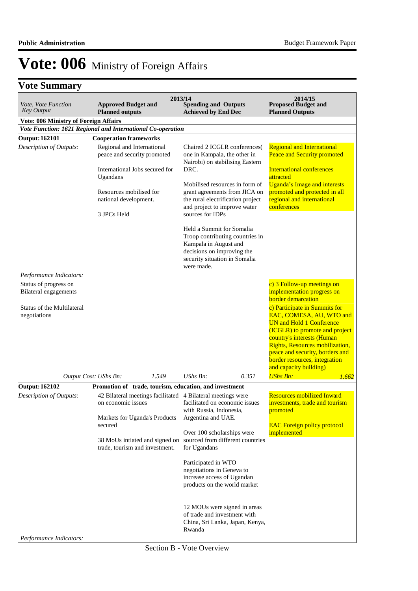## **Vote Summary**

| <i>Vote, Vote Function</i><br><b>Key Output</b>             | <b>Approved Budget and</b><br><b>Planned outputs</b>                                                    |                                | 2013/14<br><b>Spending and Outputs</b><br><b>Achieved by End Dec</b>                                                                                                         | 2014/15<br><b>Proposed Budget and</b><br><b>Planned Outputs</b>                                                                                                                                                                                                                               |
|-------------------------------------------------------------|---------------------------------------------------------------------------------------------------------|--------------------------------|------------------------------------------------------------------------------------------------------------------------------------------------------------------------------|-----------------------------------------------------------------------------------------------------------------------------------------------------------------------------------------------------------------------------------------------------------------------------------------------|
| <b>Vote: 006 Ministry of Foreign Affairs</b>                |                                                                                                         |                                |                                                                                                                                                                              |                                                                                                                                                                                                                                                                                               |
| Vote Function: 1621 Regional and International Co-operation |                                                                                                         |                                |                                                                                                                                                                              |                                                                                                                                                                                                                                                                                               |
| <b>Output: 162101</b>                                       | <b>Cooperation frameworks</b>                                                                           |                                |                                                                                                                                                                              |                                                                                                                                                                                                                                                                                               |
| Description of Outputs:                                     | Regional and International<br>peace and security promoted<br>International Jobs secured for<br>Ugandans |                                | Chaired 2 ICGLR conferences(<br>one in Kampala, the other in<br>Nairobi) on stabilising Eastern<br>DRC.                                                                      | <b>Regional and International</b><br><b>Peace and Security promoted</b><br>International conferences<br>attracted                                                                                                                                                                             |
|                                                             | Resources mobilised for<br>national development.<br>3 JPCs Held                                         |                                | Mobilised resources in form of<br>grant agreements from JICA on<br>the rural electrification project<br>and project to improve water<br>sources for IDPs                     | <b>Uganda's Image and interests</b><br>promoted and protected in all<br>regional and international<br>conferences                                                                                                                                                                             |
|                                                             |                                                                                                         |                                | Held a Summit for Somalia<br>Troop contributing countries in<br>Kampala in August and<br>decisions on improving the<br>security situation in Somalia<br>were made.           |                                                                                                                                                                                                                                                                                               |
| Performance Indicators:                                     |                                                                                                         |                                |                                                                                                                                                                              |                                                                                                                                                                                                                                                                                               |
| Status of progress on<br><b>Bilateral engagements</b>       |                                                                                                         |                                |                                                                                                                                                                              | c) 3 Follow-up meetings on<br>implementation progress on<br><b>border</b> demarcation                                                                                                                                                                                                         |
| <b>Status of the Multilateral</b><br>negotiations           |                                                                                                         |                                |                                                                                                                                                                              | c) Participate in Summits for<br>EAC, COMESA, AU, WTO and<br><b>UN and Hold 1 Conference</b><br>(ICGLR) to promote and project<br>country's interests (Human<br>Rights, Resources mobilization,<br>peace and security, borders and<br>border resources, integration<br>and capacity building) |
|                                                             | Output Cost: UShs Bn:                                                                                   | 1.549                          | UShs Bn:<br>0.351                                                                                                                                                            | <b>UShs Bn:</b><br>1.662                                                                                                                                                                                                                                                                      |
| <b>Output: 162102</b>                                       |                                                                                                         |                                | Promotion of trade, tourism, education, and investment                                                                                                                       |                                                                                                                                                                                                                                                                                               |
| Description of Outputs:                                     | on economic issues<br>Markets for Uganda's Products<br>secured                                          |                                | 42 Bilateral meetings facilitated 4 Bilateral meetings were<br>facilitated on economic issues<br>with Russia, Indonesia,<br>Argentina and UAE.<br>Over 100 scholarships were | <b>Resources mobilized Inward</b><br>investments, trade and tourism<br>promoted<br><b>EAC Foreign policy protocol</b><br>implemented                                                                                                                                                          |
|                                                             | trade, tourism and investment.                                                                          | 38 MoUs intiated and signed on | sourced from different countries<br>for Ugandans                                                                                                                             |                                                                                                                                                                                                                                                                                               |
|                                                             |                                                                                                         |                                | Participated in WTO<br>negotiations in Geneva to<br>increase access of Ugandan<br>products on the world market                                                               |                                                                                                                                                                                                                                                                                               |
| Performance Indicators:                                     |                                                                                                         |                                | 12 MOUs were signed in areas<br>of trade and investment with<br>China, Sri Lanka, Japan, Kenya,<br>Rwanda                                                                    |                                                                                                                                                                                                                                                                                               |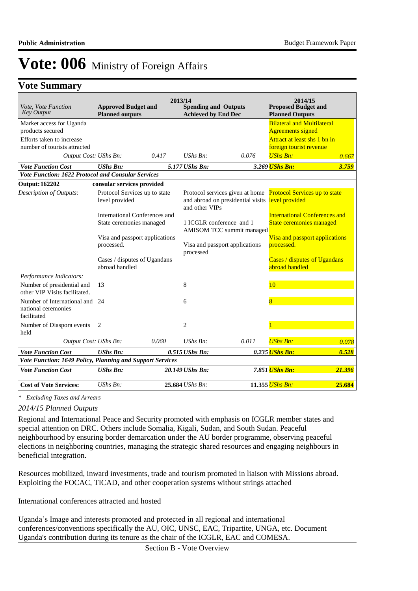### **Vote Summary**

| Vote, Vote Function<br><b>Key Output</b>                                                                  | <b>Approved Budget and</b><br><b>Planned outputs</b>      |       | 2013/14<br><b>Spending and Outputs</b><br><b>Achieved by End Dec</b> |                                                  | 2014/15<br><b>Proposed Budget and</b><br><b>Planned Outputs</b>                                                          |        |
|-----------------------------------------------------------------------------------------------------------|-----------------------------------------------------------|-------|----------------------------------------------------------------------|--------------------------------------------------|--------------------------------------------------------------------------------------------------------------------------|--------|
| Market access for Uganda<br>products secured<br>Efforts taken to increase<br>number of tourists attracted |                                                           |       |                                                                      |                                                  | <b>Bilateral and Multilateral</b><br><b>Agreements signed</b><br>Attract at least shs 1 bn in<br>foreign tourist revenue |        |
| Output Cost: UShs Bn:                                                                                     |                                                           | 0.417 | $\mathit{UShs}\, \mathit{Bn}$ :                                      | 0.076                                            | <b>UShs Bn:</b>                                                                                                          | 0.667  |
| <b>Vote Function Cost</b>                                                                                 | <b>UShs Bn:</b>                                           |       | 5.177 UShs Bn:                                                       |                                                  | 3.269 UShs Bn:                                                                                                           | 3.759  |
| Vote Function: 1622 Protocol and Consular Services                                                        |                                                           |       |                                                                      |                                                  |                                                                                                                          |        |
| <b>Output: 162202</b>                                                                                     | consular services provided                                |       |                                                                      |                                                  |                                                                                                                          |        |
| Description of Outputs:                                                                                   | Protocol Services up to state<br>level provided           |       | and other VIPs                                                       | and abroad on presidential visits level provided | Protocol services given at home Protocol Services up to state                                                            |        |
|                                                                                                           | International Conferences and<br>State ceremonies managed |       | 1 ICGLR conference and 1                                             | AMISOM TCC summit managed                        | <b>International Conferences and</b><br>State ceremonies managed                                                         |        |
|                                                                                                           | Visa and passport applications<br>processed.              |       | processed                                                            | Visa and passport applications                   | Visa and passport applications<br>processed.                                                                             |        |
|                                                                                                           | Cases / disputes of Ugandans<br>abroad handled            |       |                                                                      |                                                  | Cases / disputes of Ugandans<br>abroad handled                                                                           |        |
| Performance Indicators:                                                                                   |                                                           |       |                                                                      |                                                  |                                                                                                                          |        |
| Number of presidential and<br>other VIP Visits facilitated.                                               | 13                                                        |       | 8                                                                    |                                                  | 10                                                                                                                       |        |
| Number of International and 24<br>national ceremonies<br>facilitated                                      |                                                           |       | 6                                                                    |                                                  | 8                                                                                                                        |        |
| Number of Diaspora events<br>held                                                                         | 2                                                         |       | $\overline{c}$                                                       |                                                  |                                                                                                                          |        |
| Output Cost: UShs Bn:                                                                                     |                                                           | 0.060 | $UShs Bn$ :                                                          | 0.011                                            | <b>UShs Bn:</b>                                                                                                          | 0.078  |
| <b>Vote Function Cost</b>                                                                                 | <b>UShs Bn:</b>                                           |       | 0.515 UShs Bn:                                                       |                                                  | 0.235 <i>UShs Bn:</i>                                                                                                    | 0.528  |
| Vote Function: 1649 Policy, Planning and Support Services                                                 |                                                           |       |                                                                      |                                                  |                                                                                                                          |        |
| <b>Vote Function Cost</b>                                                                                 | <b>UShs Bn:</b>                                           |       | 20.149 UShs Bn:                                                      |                                                  | 7.851 UShs Bn:                                                                                                           | 21.396 |
| <b>Cost of Vote Services:</b>                                                                             | $UShs Bn$ :                                               |       | 25.684 UShs Bn:                                                      |                                                  | 11.355 UShs Bn:                                                                                                          | 25.684 |

*\* Excluding Taxes and Arrears*

#### *2014/15 Planned Outputs*

Regional and International Peace and Security promoted with emphasis on ICGLR member states and special attention on DRC. Others include Somalia, Kigali, Sudan, and South Sudan. Peaceful neighbourhood by ensuring border demarcation under the AU border programme, observing peaceful elections in neighboring countries, managing the strategic shared resources and engaging neighbours in beneficial integration.

Resources mobilized, inward investments, trade and tourism promoted in liaison with Missions abroad. Exploiting the FOCAC, TICAD, and other cooperation systems without strings attached

International conferences attracted and hosted

Uganda's Image and interests promoted and protected in all regional and international conferences/conventions specifically the AU, OIC, UNSC, EAC, Tripartite, UNGA, etc. Document Uganda's contribution during its tenure as the chair of the ICGLR, EAC and COMESA.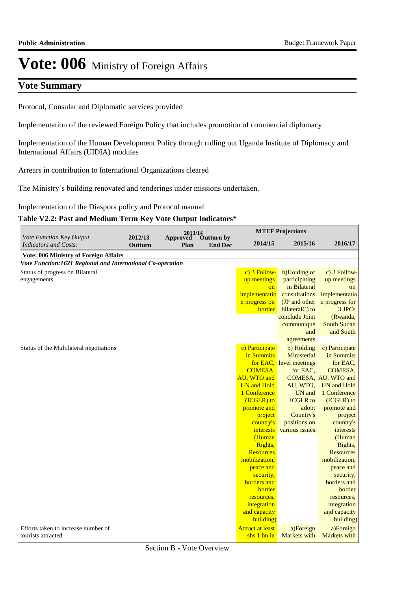## **Vote Summary**

Protocol, Consular and Diplomatic services provided

Implementation of the reviewed Foreign Policy that includes promotion of commercial diplomacy

Implementation of the Human Development Policy through rolling out Uganda Institute of Diplomacy and International Affairs (UIDIA) modules

Arrears in contribution to International Organizations cleared

The Ministry's building renovated and tenderings under missions undertaken.

Implementation of the Diaspora policy and Protocol manual

#### **Table V2.2: Past and Medium Term Key Vote Output Indicators\***

| Vote Function Key Output                                   | 2012/13 | 2013/14          |                              |                           | <b>MTEF Projections</b>   |                        |
|------------------------------------------------------------|---------|------------------|------------------------------|---------------------------|---------------------------|------------------------|
| <b>Indicators and Costs:</b>                               | Outturn | Approved<br>Plan | Outturn by<br><b>End Dec</b> | 2014/15                   | 2015/16                   | 2016/17                |
| <b>Vote: 006 Ministry of Foreign Affairs</b>               |         |                  |                              |                           |                           |                        |
| Vote Function:1621 Regional and International Co-operation |         |                  |                              |                           |                           |                        |
| Status of progress on Bilateral                            |         |                  |                              | c) 3 Follow-              | b)Holding or              | c) 3 Follow-           |
| engagements                                                |         |                  |                              | up meetings               | participating             | up meetings            |
|                                                            |         |                  |                              | on                        | in Bilateral              | <sub>on</sub>          |
|                                                            |         |                  |                              | implementatio             | consultations             | implementatio          |
|                                                            |         |                  |                              | n progress on             | (JP and other             | n progress for         |
|                                                            |         |                  |                              | <b>border</b>             | bilateralC) to            | 3 JPCs                 |
|                                                            |         |                  |                              |                           | conclude Joint            | (Rwanda,               |
|                                                            |         |                  |                              |                           | communiqué                | South Sudan            |
|                                                            |         |                  |                              |                           | and                       | and South              |
|                                                            |         |                  |                              |                           | agreements.               |                        |
| Status of the Multilateral negotiations                    |         |                  |                              | c) Participate            | b) Holding                | c) Participate         |
|                                                            |         |                  |                              | in Summits                | Ministerial               | in Summits             |
|                                                            |         |                  |                              |                           | for EAC, level meetings   | for EAC,               |
|                                                            |         |                  |                              | <b>COMESA,</b>            | for EAC,                  | COMESA,                |
|                                                            |         |                  |                              | AU, WTO and               |                           | COMESA, AU, WTO and    |
|                                                            |         |                  |                              | <b>UN</b> and Hold        | AU, WTO,                  | UN and Hold            |
|                                                            |         |                  |                              | 1 Conference              | UN and<br><b>ICGLR</b> to | 1 Conference           |
|                                                            |         |                  |                              | (ICGLR) to<br>promote and |                           | (ICGLR) to             |
|                                                            |         |                  |                              | project                   | adopt<br>Country's        | promote and<br>project |
|                                                            |         |                  |                              | country's                 | positions on              | country's              |
|                                                            |         |                  |                              | interests                 | various issues.           | interests              |
|                                                            |         |                  |                              | (Human                    |                           | (Human                 |
|                                                            |         |                  |                              | Rights,                   |                           | Rights,                |
|                                                            |         |                  |                              | <b>Resources</b>          |                           | <b>Resources</b>       |
|                                                            |         |                  |                              | mobilization,             |                           | mobilization,          |
|                                                            |         |                  |                              | peace and                 |                           | peace and              |
|                                                            |         |                  |                              | security,                 |                           | security,              |
|                                                            |         |                  |                              | borders and               |                           | borders and            |
|                                                            |         |                  |                              | border                    |                           | border                 |
|                                                            |         |                  |                              | resources.                |                           | resources,             |
|                                                            |         |                  |                              | integration               |                           | integration            |
|                                                            |         |                  |                              | and capacity              |                           | and capacity           |
|                                                            |         |                  |                              | building)                 |                           | building)              |
| Efforts taken to increase number of                        |         |                  |                              | <b>Attract at least</b>   | a)Foreign                 | a)Foreign              |
| tourists attracted                                         |         |                  |                              | $shs$ 1 bn in             | Markets with              | Markets with           |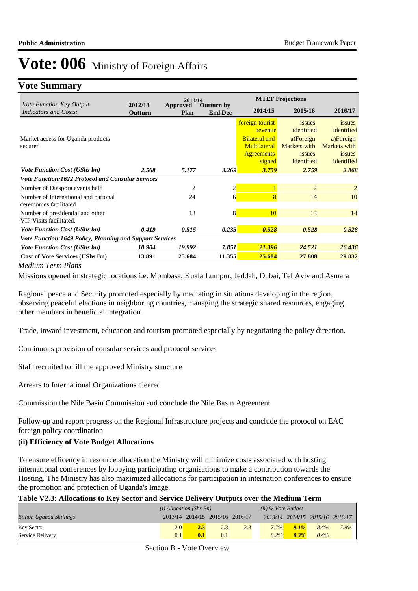## **Vote Summary**

|                                                                 | 2013/14            |                                                                |                |                                                                     | <b>MTEF Projections</b>                           |                                                   |  |  |  |
|-----------------------------------------------------------------|--------------------|----------------------------------------------------------------|----------------|---------------------------------------------------------------------|---------------------------------------------------|---------------------------------------------------|--|--|--|
| <i>Vote Function Key Output</i><br><b>Indicators and Costs:</b> | 2012/13<br>Outturn | <b>Outturn by</b><br><b>Approved</b><br><b>End Dec</b><br>Plan |                | 2014/15                                                             | 2015/16                                           | 2016/17                                           |  |  |  |
|                                                                 |                    |                                                                |                | foreign tourist<br>revenue                                          | issues<br>identified                              | <i>issues</i><br>identified                       |  |  |  |
| Market access for Uganda products<br>secured                    |                    |                                                                |                | <b>Bilateral and</b><br>Multilateral<br><b>Agreements</b><br>signed | a)Foreign<br>Markets with<br>issues<br>identified | a)Foreign<br>Markets with<br>issues<br>identified |  |  |  |
| <b>Vote Function Cost (UShs bn)</b>                             | 2.568              | 5.177                                                          | 3.269          | 3.759                                                               | 2.759                                             | 2.868                                             |  |  |  |
| <b>Vote Function:1622 Protocol and Consular Services</b>        |                    |                                                                |                |                                                                     |                                                   |                                                   |  |  |  |
| Number of Diaspora events held                                  |                    | $\overline{c}$                                                 | $\overline{2}$ |                                                                     | $\overline{2}$                                    |                                                   |  |  |  |
| Number of International and national<br>ceremonies facilitated  |                    | 24                                                             | 6              | 8                                                                   | 14                                                | 10                                                |  |  |  |
| Number of presidential and other<br>VIP Visits facilitated.     |                    | 13                                                             | 8              | 10                                                                  | 13                                                | 14                                                |  |  |  |
| <b>Vote Function Cost (UShs bn)</b>                             | 0.419              | 0.515                                                          | 0.235          | 0.528                                                               | 0.528                                             | 0.528                                             |  |  |  |
| Vote Function:1649 Policy, Planning and Support Services        |                    |                                                                |                |                                                                     |                                                   |                                                   |  |  |  |
| <b>Vote Function Cost (UShs bn)</b>                             | 10.904             | 19.992                                                         | 7.851          | 21.396                                                              | 24.521                                            | 26.436                                            |  |  |  |
| <b>Cost of Vote Services (UShs Bn)</b>                          | 13.891             | 25.684                                                         | 11.355         | 25.684                                                              | 27.808                                            | 29.832                                            |  |  |  |

*Medium Term Plans*

Missions opened in strategic locations i.e. Mombasa, Kuala Lumpur, Jeddah, Dubai, Tel Aviv and Asmara

Regional peace and Security promoted especially by mediating in situations developing in the region, observing peaceful elections in neighboring countries, managing the strategic shared resources, engaging other members in beneficial integration.

Trade, inward investment, education and tourism promoted especially by negotiating the policy direction.

Continuous provision of consular services and protocol services

Staff recruited to fill the approved Ministry structure

Arrears to International Organizations cleared

Commission the Nile Basin Commission and conclude the Nile Basin Agreement

Follow-up and report progress on the Regional Infrastructure projects and conclude the protocol on EAC foreign policy coordination

#### **(ii) Efficiency of Vote Budget Allocations**

To ensure efficency in resource allocation the Ministry will minimize costs associated with hosting international conferences by lobbying participating organisations to make a contribution towards the Hosting. The Ministry has also maximized allocations for participation in internation conferences to ensure the promotion and protection of Uganda's Image.

#### **Table V2.3: Allocations to Key Sector and Service Delivery Outputs over the Medium Term**

|                                 | $(i)$ Allocation (Shs Bn) |     |                                 |     | $(ii)$ % Vote Budget |         |                                 |      |  |
|---------------------------------|---------------------------|-----|---------------------------------|-----|----------------------|---------|---------------------------------|------|--|
| <b>Billion Uganda Shillings</b> |                           |     | 2013/14 2014/15 2015/16 2016/17 |     |                      |         | 2013/14 2014/15 2015/16 2016/17 |      |  |
| <b>Key Sector</b>               | 2.0                       | 2.3 | 2.3                             | 2.3 | $7.7\%$              | $9.1\%$ | $8.4\%$                         | 7.9% |  |
| Service Delivery                | 0.1                       | 0.1 | $\overline{0.1}$                |     | $0.2\%$              | $0.3\%$ | 0.4%                            |      |  |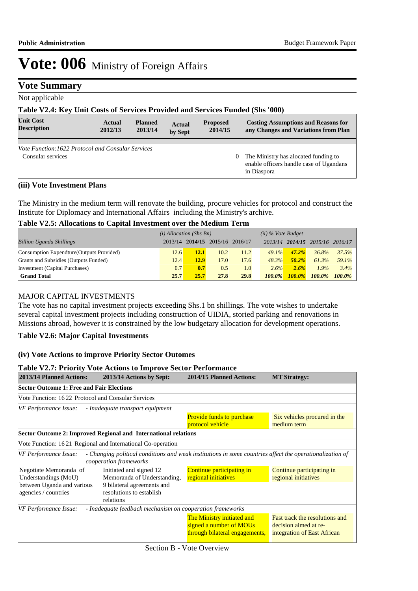### **Vote Summary**

Not applicable

### **Table V2.4: Key Unit Costs of Services Provided and Services Funded (Shs '000)**

| <b>Unit Cost</b><br><b>Description</b>                                  | Actual<br>2012/13 | <b>Planned</b><br>2013/14 | <b>Actual</b><br>by Sept | <b>Proposed</b><br>2014/15 |          | <b>Costing Assumptions and Reasons for</b><br>any Changes and Variations from Plan             |
|-------------------------------------------------------------------------|-------------------|---------------------------|--------------------------|----------------------------|----------|------------------------------------------------------------------------------------------------|
|                                                                         |                   |                           |                          |                            |          |                                                                                                |
| Vote Function: 1622 Protocol and Consular Services<br>Consular services |                   |                           |                          |                            | $\theta$ | The Ministry has alocated funding to<br>enable officers handle case of Ugandans<br>in Diaspora |

#### **(iii) Vote Investment Plans**

The Ministry in the medium term will renovate the building, procure vehicles for protocol and construct the Institute for Diplomacy and International Affairs including the Ministry's archive.

#### **Table V2.5: Allocations to Capital Investment over the Medium Term**

|                                           | $(i)$ Allocation (Shs Bn) |      |                         |      | $(ii)$ % Vote Budget |           |           |           |
|-------------------------------------------|---------------------------|------|-------------------------|------|----------------------|-----------|-----------|-----------|
| <b>Billion Uganda Shillings</b>           | 2013/14                   |      | 2014/15 2015/16 2016/17 |      | 2013/14              | 2014/15   | 2015/16   | 2016/17   |
| Consumption Expendture (Outputs Provided) | 12.6                      | 12.1 | 10.2                    | 11.2 | 49.1%                | $47.2\%$  | 36.8%     | 37.5%     |
| Grants and Subsidies (Outputs Funded)     | 12.4                      | 12.9 | 17.0                    | 17.6 | 48.3%                | $50.2\%$  | 61.3%     | 59.1%     |
| Investment (Capital Purchases)            | 0.7                       | 0.7  | 0.5                     | 1.0  | 2.6%                 | 2.6%      | 1.9%      | 3.4%      |
| <b>Grand Total</b>                        | 25.7                      | 25.7 | 27.8                    | 29.8 | $100.0\%$            | $100.0\%$ | $100.0\%$ | $100.0\%$ |

#### MAJOR CAPITAL INVESTMENTS

The vote has no capital investment projects exceeding Shs.1 bn shillings. The vote wishes to undertake several capital investment projects including construction of UIDIA, storied parking and renovations in Missions abroad, however it is constrained by the low budgetary allocation for development operations.

#### **Table V2.6: Major Capital Investments**

#### **(iv) Vote Actions to improve Priority Sector Outomes**

|                                                    | <b>Table V2.7: Priority Vote Actions to Improve Sector Performance</b>                                                             |                                                                                         |                                                                                        |
|----------------------------------------------------|------------------------------------------------------------------------------------------------------------------------------------|-----------------------------------------------------------------------------------------|----------------------------------------------------------------------------------------|
| 2013/14 Planned Actions:                           | 2013/14 Actions by Sept:                                                                                                           | 2014/15 Planned Actions:                                                                | <b>MT Strategy:</b>                                                                    |
| <b>Sector Outcome 1: Free and Fair Elections</b>   |                                                                                                                                    |                                                                                         |                                                                                        |
|                                                    | Vote Function: 1622 Protocol and Consular Services                                                                                 |                                                                                         |                                                                                        |
| VF Performance Issue:                              | - Inadequate transport equipment                                                                                                   |                                                                                         |                                                                                        |
|                                                    |                                                                                                                                    | <b>Provide funds to purchase</b><br>protocol vehicle                                    | Six vehicles procured in the<br>medium term                                            |
|                                                    | Sector Outcome 2: Improved Regional and International relations                                                                    |                                                                                         |                                                                                        |
|                                                    | Vote Function: 16.21 Regional and International Co-operation                                                                       |                                                                                         |                                                                                        |
| VF Performance Issue:                              | - Changing political conditions and weak institutions in some countries affect the operationalization of<br>cooperation frameworks |                                                                                         |                                                                                        |
| Negotiate Memoranda of<br>Understandings (MoU)     | Initiated and signed 12<br>Memoranda of Understanding,                                                                             | Continue participating in<br>regional initiatives                                       | Continue participating in<br>regional initiatives                                      |
| between Uganda and various<br>agencies / countries | 9 bilateral agreements and<br>resolutions to establish<br>relations                                                                |                                                                                         |                                                                                        |
| <b>VF Performance Issue:</b>                       | - Inadequate feedback mechanism on cooperation frameworks                                                                          |                                                                                         |                                                                                        |
|                                                    |                                                                                                                                    | The Ministry initiated and<br>signed a number of MOUs<br>through bilateral engagements, | Fast track the resolutions and<br>decision aimed at re-<br>integration of East African |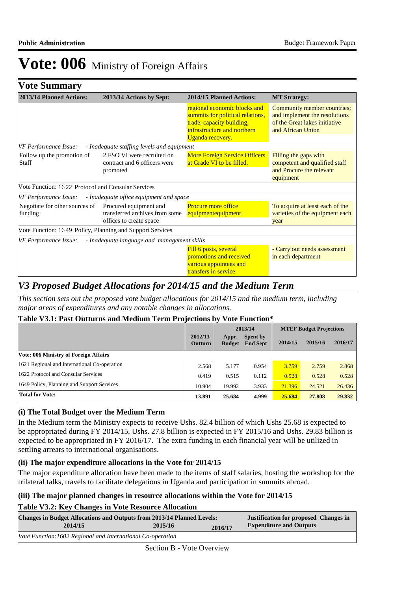### **Vote Summary**

| 2013/14 Planned Actions:                                  | 2013/14 Actions by Sept:                                                            | 2014/15 Planned Actions:                                                                                                                         | <b>MT Strategy:</b>                                                                                                |
|-----------------------------------------------------------|-------------------------------------------------------------------------------------|--------------------------------------------------------------------------------------------------------------------------------------------------|--------------------------------------------------------------------------------------------------------------------|
|                                                           |                                                                                     | regional economic blocks and<br>summits for political relations,<br>trade, capacity building,<br>infrastructure and northern<br>Uganda recovery. | Community member countries;<br>and implement the resolutions<br>of the Great lakes initiative<br>and African Union |
| VF Performance Issue:                                     | - Inadequate staffing levels and equipment                                          |                                                                                                                                                  |                                                                                                                    |
| Follow up the promotion of<br><b>Staff</b>                | 2 FSO VI were recruited on<br>contract and 6 officers were<br>promoted              | <b>More Foreign Service Officers</b><br>at Grade VI to be filled.                                                                                | Filling the gaps with<br>competent and qualified staff<br>and Procure the relevant<br>equipment                    |
| Vote Function: 1622 Protocol and Consular Services        |                                                                                     |                                                                                                                                                  |                                                                                                                    |
| VF Performance Issue:                                     | - Inadequate office equipment and space                                             |                                                                                                                                                  |                                                                                                                    |
| Negotiate for other sources of<br>funding                 | Procured equipment and<br>transferred archives from some<br>offices to create space | <b>Procure more office</b><br>equipmentequipment                                                                                                 | To acquire at least each of the<br>varieties of the equipment each<br>year                                         |
| Vote Function: 1649 Policy, Planning and Support Services |                                                                                     |                                                                                                                                                  |                                                                                                                    |
| VF Performance Issue:                                     | - Inadequate language and management skills                                         |                                                                                                                                                  |                                                                                                                    |
|                                                           |                                                                                     | Fill 6 posts, several<br>promotions and received<br>various appointees and<br>transfers in service.                                              | - Carry out needs assessment<br>in each department                                                                 |

## *V3 Proposed Budget Allocations for 2014/15 and the Medium Term*

*This section sets out the proposed vote budget allocations for 2014/15 and the medium term, including major areas of expenditures and any notable changes in allocations.* 

#### **Table V3.1: Past Outturns and Medium Term Projections by Vote Function\***

|                                              |                           |                        | 2013/14                            |         | <b>MTEF Budget Projections</b> |         |
|----------------------------------------------|---------------------------|------------------------|------------------------------------|---------|--------------------------------|---------|
|                                              | 2012/13<br><b>Outturn</b> | Appr.<br><b>Budget</b> | <b>Spent by</b><br><b>End Sept</b> | 2014/15 | 2015/16                        | 2016/17 |
| Vote: 006 Ministry of Foreign Affairs        |                           |                        |                                    |         |                                |         |
| 1621 Regional and International Co-operation | 2.568                     | 5.177                  | 0.954                              | 3.759   | 2.759                          | 2.868   |
| 1622 Protocol and Consular Services          | 0.419                     | 0.515                  | 0.112                              | 0.528   | 0.528                          | 0.528   |
| 1649 Policy, Planning and Support Services   | 10.904                    | 19.992                 | 3.933                              | 21.396  | 24.521                         | 26.436  |
| <b>Total for Vote:</b>                       | 13.891                    | 25.684                 | 4.999                              | 25.684  | 27,808                         | 29.832  |

#### **(i) The Total Budget over the Medium Term**

In the Medium term the Ministry expects to receive Ushs. 82.4 billion of which Ushs 25.68 is expected to be appropriated during FY 2014/15, Ushs. 27.8 billion is expected in FY 2015/16 and Ushs. 29.83 billion is expected to be appropriated in FY 2016/17. The extra funding in each financial year will be utilized in settling arrears to international organisations.

#### **(ii) The major expenditure allocations in the Vote for 2014/15**

The major expenditure allocation have been made to the items of staff salaries, hosting the workshop for the trilateral talks, travels to facilitate delegations in Uganda and participation in summits abroad.

#### **(iii) The major planned changes in resource allocations within the Vote for 2014/15**

#### **Table V3.2: Key Changes in Vote Resource Allocation**

| <b>Changes in Budget Allocations and Outputs from 2013/14 Planned Levels:</b> |         |         | <b>Justification for proposed Changes in</b> |  |  |
|-------------------------------------------------------------------------------|---------|---------|----------------------------------------------|--|--|
| 2014/15                                                                       | 2015/16 | 2016/17 | <b>Expenditure and Outputs</b>               |  |  |
| Vote Function: 1602 Regional and International Co-operation                   |         |         |                                              |  |  |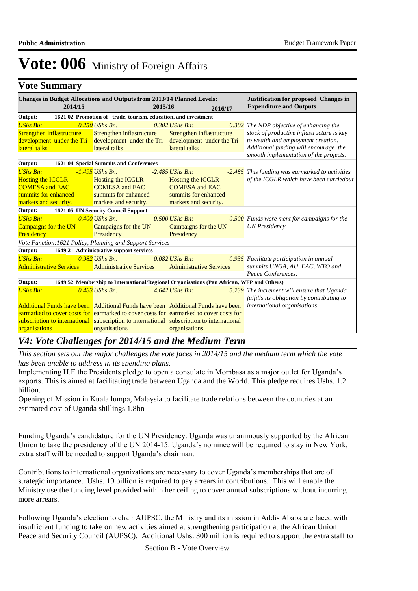### **Vote Summary**

| 1621 02 Promotion of trade, tourism, education, and investment<br>Output:<br><b>UShs Bn:</b><br>$0.250$ UShs Bn:<br>0.302 UShs Bn:<br>0.302 The NDP objective of enhancing the |  |  |  |  |  |
|--------------------------------------------------------------------------------------------------------------------------------------------------------------------------------|--|--|--|--|--|
|                                                                                                                                                                                |  |  |  |  |  |
|                                                                                                                                                                                |  |  |  |  |  |
| stock of productive inflastructure is key<br>Strengthen inflastructure<br>Strengthen inflastructure<br>Strengthen inflastructure                                               |  |  |  |  |  |
| to wealth and employment creation.<br>development under the Tri<br>development under the Tri<br>development under the Tri                                                      |  |  |  |  |  |
| Additional funding will encourage the<br>lateral talks<br>lateral talks<br>lateral talks<br>smooth implementation of the projects.                                             |  |  |  |  |  |
| 1621 04 Special Summits and Conferences<br>Output:                                                                                                                             |  |  |  |  |  |
| <b>UShs Bn:</b><br>$-1.495$ UShs Bn:<br>$-2.485$ UShs Bn:<br>-2.485 This funding was earmarked to activities                                                                   |  |  |  |  |  |
| of the ICGLR which have been carriedout<br><b>Hosting the ICGLR</b><br>Hosting the ICGLR<br><b>Hosting the ICGLR</b>                                                           |  |  |  |  |  |
| <b>COMESA and EAC</b><br><b>COMESA</b> and EAC<br><b>COMESA</b> and EAC                                                                                                        |  |  |  |  |  |
| summits for enhanced<br>summits for enhanced<br>summits for enhanced                                                                                                           |  |  |  |  |  |
| markets and security.<br>markets and security.<br>markets and security.                                                                                                        |  |  |  |  |  |
| 1621 05 UN Security Council Support<br>Output:                                                                                                                                 |  |  |  |  |  |
| <b>UShs Bn:</b><br>$-0.400$ UShs Bn:<br>$-0.500$ UShs Bn:<br>-0.500 Funds were ment for campaigns for the                                                                      |  |  |  |  |  |
| Campaigns for the UN<br><b>UN</b> Presidency<br><b>Campaigns for the UN</b><br>Campaigns for the UN                                                                            |  |  |  |  |  |
| Presidency<br>Presidency<br>Presidency                                                                                                                                         |  |  |  |  |  |
| Vote Function: 1621 Policy, Planning and Support Services                                                                                                                      |  |  |  |  |  |
| 1649 21 Administrative support services<br>Output:                                                                                                                             |  |  |  |  |  |
| <b>UShs Bn:</b><br>$0.982$ UShs Bn:<br>$0.082$ UShs Bn:<br>0.935 Facilitate participation in annual                                                                            |  |  |  |  |  |
| summits UNGA, AU, EAC, WTO and<br><b>Administrative Services</b><br><b>Administrative Services</b><br><b>Administrative Services</b>                                           |  |  |  |  |  |
| Peace Conferences.                                                                                                                                                             |  |  |  |  |  |
| 1649 52 Membership to International/Regional Organisations (Pan African, WFP and Others)<br>Output:                                                                            |  |  |  |  |  |
| <b>UShs Bn:</b><br>$0.483$ UShs Bn:<br>$4.642$ UShs Bn:<br>5.239 The increment will ensure that Uganda                                                                         |  |  |  |  |  |
| fulfills its obligation by contributing to                                                                                                                                     |  |  |  |  |  |
| international organisations<br><b>Additional Funds have been</b> Additional Funds have been Additional Funds have been                                                         |  |  |  |  |  |
| earmarked to cover costs for earmarked to cover costs for earmarked to cover costs for                                                                                         |  |  |  |  |  |
| subscription to international subscription to international subscription to international<br>organisations<br>organisations<br>organisations                                   |  |  |  |  |  |

## *V4: Vote Challenges for 2014/15 and the Medium Term*

*This section sets out the major challenges the vote faces in 2014/15 and the medium term which the vote has been unable to address in its spending plans.*

Implementing H.E the Presidents pledge to open a consulate in Mombasa as a major outlet for Uganda's exports. This is aimed at facilitating trade between Uganda and the World. This pledge requires Ushs. 1.2 billion.

Opening of Mission in Kuala lumpa, Malaysia to facilitate trade relations between the countries at an estimated cost of Uganda shillings 1.8bn

Funding Uganda's candidature for the UN Presidency. Uganda was unanimously supported by the African Union to take the presidency of the UN 2014-15. Uganda's nominee will be required to stay in New York, extra staff will be needed to support Uganda's chairman.

Contributions to international organizations are necessary to cover Uganda's memberships that are of strategic importance. Ushs. 19 billion is required to pay arrears in contributions. This will enable the Ministry use the funding level provided within her ceiling to cover annual subscriptions without incurring more arrears.

Following Uganda's election to chair AUPSC, the Ministry and its mission in Addis Ababa are faced with insufficient funding to take on new activities aimed at strengthening participation at the African Union Peace and Security Council (AUPSC). Additional Ushs. 300 million is required to support the extra staff to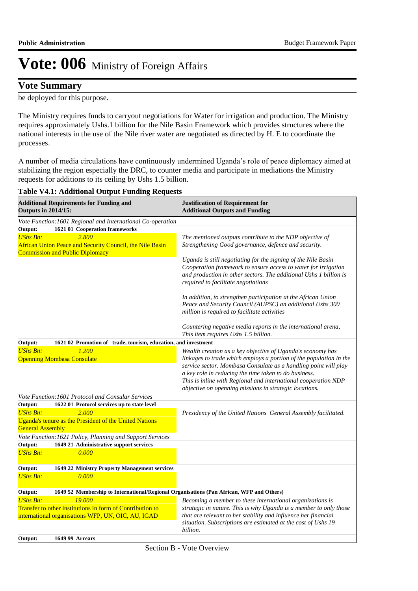### **Vote Summary**

be deployed for this purpose.

The Ministry requires funds to carryout negotiations for Water for irrigation and production. The Ministry requires approximately Ushs.1 billion for the Nile Basin Framework which provides structures where the national interests in the use of the Nile river water are negotiated as directed by H. E to coordinate the processes.

A number of media circulations have continuously undermined Uganda's role of peace diplomacy aimed at stabilizing the region especially the DRC, to counter media and participate in mediations the Ministry requests for additions to its ceiling by Ushs 1.5 billion.

#### **Table V4.1: Additional Output Funding Requests**

| <b>Additional Requirements for Funding and</b><br><b>Outputs in 2014/15:</b> |                                                                                                                                               | <b>Justification of Requirement for</b><br><b>Additional Outputs and Funding</b>                                                                                                                                                                                                                                                                                                                                                                                                                                                                                                                               |  |  |  |
|------------------------------------------------------------------------------|-----------------------------------------------------------------------------------------------------------------------------------------------|----------------------------------------------------------------------------------------------------------------------------------------------------------------------------------------------------------------------------------------------------------------------------------------------------------------------------------------------------------------------------------------------------------------------------------------------------------------------------------------------------------------------------------------------------------------------------------------------------------------|--|--|--|
|                                                                              | Vote Function: 1601 Regional and International Co-operation                                                                                   |                                                                                                                                                                                                                                                                                                                                                                                                                                                                                                                                                                                                                |  |  |  |
| Output:<br><b>UShs Bn:</b>                                                   | 1621 01 Cooperation frameworks<br>2.800<br>African Union Peace and Security Council, the Nile Basin<br><b>Commission and Public Diplomacy</b> | The mentioned outputs contribute to the NDP objective of<br>Strengthening Good governance, defence and security.<br>Uganda is still negotiating for the signing of the Nile Basin<br>Cooperation framework to ensure access to water for irrigation<br>and production in other sectors. The additional Ushs 1 billion is<br>required to facilitate negotiations<br>In addition, to strengthen participation at the African Union<br>Peace and Security Council (AUPSC) an additional Ushs 300<br>million is required to facilitate activities<br>Countering negative media reports in the international arena, |  |  |  |
| Output:                                                                      | 1621 02 Promotion of trade, tourism, education, and investment                                                                                | This item requires Ushs 1.5 billion.                                                                                                                                                                                                                                                                                                                                                                                                                                                                                                                                                                           |  |  |  |
| <b>UShs Bn:</b>                                                              | 1.200<br><b>Openning Mombasa Consulate</b>                                                                                                    | Wealth creation as a key objective of Uganda's economy has<br>linkages to trade which employs a portion of the population in the<br>service sector. Mombasa Consulate as a handling point will play<br>a key role in reducing the time taken to do business.<br>This is inline with Regional and international cooperation NDP<br>objective on openning missions in strategic locations.                                                                                                                                                                                                                       |  |  |  |
|                                                                              | Vote Function: 1601 Protocol and Consular Services                                                                                            |                                                                                                                                                                                                                                                                                                                                                                                                                                                                                                                                                                                                                |  |  |  |
| Output:                                                                      | 1622 01 Protocol services up to state level                                                                                                   |                                                                                                                                                                                                                                                                                                                                                                                                                                                                                                                                                                                                                |  |  |  |
| <b>UShs Bn:</b><br><b>General Assembly</b>                                   | 2.000<br>Uganda's tenure as the President of the United Nations<br>Vote Function: 1621 Policy, Planning and Support Services                  | Presidency of the United Nations General Assembly facilitated.                                                                                                                                                                                                                                                                                                                                                                                                                                                                                                                                                 |  |  |  |
| Output:                                                                      | 1649 21 Administrative support services                                                                                                       |                                                                                                                                                                                                                                                                                                                                                                                                                                                                                                                                                                                                                |  |  |  |
| <b>UShs Bn:</b>                                                              | 0.000                                                                                                                                         |                                                                                                                                                                                                                                                                                                                                                                                                                                                                                                                                                                                                                |  |  |  |
| Output:                                                                      | 1649 22 Ministry Property Management services                                                                                                 |                                                                                                                                                                                                                                                                                                                                                                                                                                                                                                                                                                                                                |  |  |  |
| <b>UShs Bn:</b>                                                              | 0.000                                                                                                                                         |                                                                                                                                                                                                                                                                                                                                                                                                                                                                                                                                                                                                                |  |  |  |
| Output:                                                                      | 1649 52 Membership to International/Regional Organisations (Pan African, WFP and Others)                                                      |                                                                                                                                                                                                                                                                                                                                                                                                                                                                                                                                                                                                                |  |  |  |
| <b>UShs Bn:</b>                                                              | 19,000<br>Transfer to other institutions in form of Contribution to<br>international organisations WFP, UN, OIC, AU, IGAD                     | Becoming a member to these international organizations is<br>strategic in nature. This is why Uganda is a member to only those<br>that are relevant to her stability and influence her financial<br>situation. Subscriptions are estimated at the cost of Ushs 19<br>billion.                                                                                                                                                                                                                                                                                                                                  |  |  |  |
| Output:                                                                      | <b>1649 99 Arrears</b>                                                                                                                        |                                                                                                                                                                                                                                                                                                                                                                                                                                                                                                                                                                                                                |  |  |  |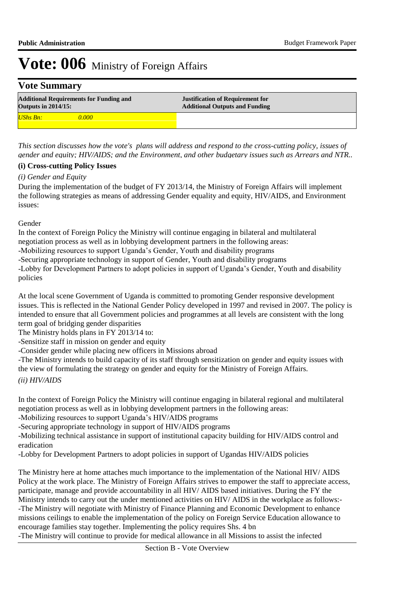### **Vote Summary**

| <b>Additional Requirements for Funding and</b><br><b>Outputs in 2014/15:</b> | <b>Justification of Requirement for</b><br><b>Additional Outputs and Funding</b> |
|------------------------------------------------------------------------------|----------------------------------------------------------------------------------|
| <b>UShs Bn:</b>                                                              |                                                                                  |

*This section discusses how the vote's plans will address and respond to the cross-cutting policy, issues of gender and equity; HIV/AIDS; and the Environment, and other budgetary issues such as Arrears and NTR..* 

#### **(i) Cross-cutting Policy Issues**

#### *(i) Gender and Equity*

During the implementation of the budget of FY 2013/14, the Ministry of Foreign Affairs will implement the following strategies as means of addressing Gender equality and equity, HIV/AIDS, and Environment issues:

Gender

In the context of Foreign Policy the Ministry will continue engaging in bilateral and multilateral negotiation process as well as in lobbying development partners in the following areas:

-Mobilizing resources to support Uganda's Gender, Youth and disability programs

-Securing appropriate technology in support of Gender, Youth and disability programs

-Lobby for Development Partners to adopt policies in support of Uganda's Gender, Youth and disability policies

At the local scene Government of Uganda is committed to promoting Gender responsive development issues. This is reflected in the National Gender Policy developed in 1997 and revised in 2007. The policy is intended to ensure that all Government policies and programmes at all levels are consistent with the long term goal of bridging gender disparities

The Ministry holds plans in FY 2013/14 to:

-Sensitize staff in mission on gender and equity

-Consider gender while placing new officers in Missions abroad

-The Ministry intends to build capacity of its staff through sensitization on gender and equity issues with the view of formulating the strategy on gender and equity for the Ministry of Foreign Affairs.

### *(ii) HIV/AIDS*

In the context of Foreign Policy the Ministry will continue engaging in bilateral regional and multilateral negotiation process as well as in lobbying development partners in the following areas:

-Mobilizing resources to support Uganda's HIV/AIDS programs

-Securing appropriate technology in support of HIV/AIDS programs

-Mobilizing technical assistance in support of institutional capacity building for HIV/AIDS control and eradication

-Lobby for Development Partners to adopt policies in support of Ugandas HIV/AIDS policies

The Ministry here at home attaches much importance to the implementation of the National HIV/ AIDS Policy at the work place. The Ministry of Foreign Affairs strives to empower the staff to appreciate access, participate, manage and provide accountability in all HIV/ AIDS based initiatives. During the FY the Ministry intends to carry out the under mentioned activities on HIV/ AIDS in the workplace as follows:- -The Ministry will negotiate with Ministry of Finance Planning and Economic Development to enhance missions ceilings to enable the implementation of the policy on Foreign Service Education allowance to encourage families stay together. Implementing the policy requires Shs. 4 bn -The Ministry will continue to provide for medical allowance in all Missions to assist the infected